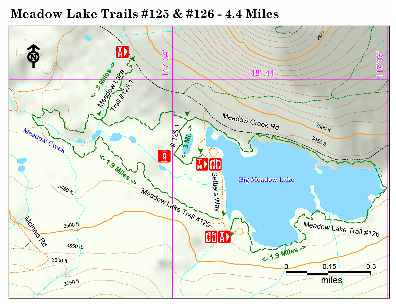# Meadow Lake Trails #125 & #126 - 4.4 Miles